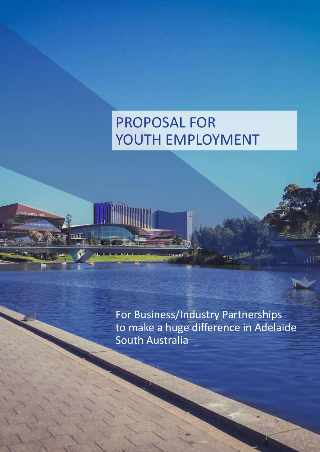# PROPOSAL FOR YOUTH EMPLOYMENT

**KIADE CONFIDENCIA** 

THEFT

For Business/Industry Partnerships to make a huge difference in Adelaide South Australia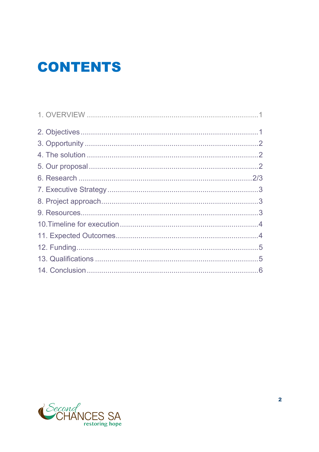## **CONTENTS**

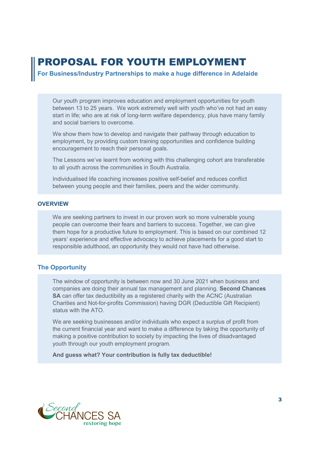## PROPOSAL FOR YOUTH EMPLOYMENT

For Business/Industry Partnerships to make a huge difference in Adelaide

Our youth program improves education and employment opportunities for youth between 13 to 25 years. We work extremely well with youth who've not had an easy start in life; who are at risk of long-term welfare dependency, plus have many family and social barriers to overcome.

We show them how to develop and navigate their pathway through education to employment, by providing custom training opportunities and confidence building encouragement to reach their personal goals.

The Lessons we've learnt from working with this challenging cohort are transferable to all youth across the communities in South Australia.

Individualised life coaching increases positive self-belief and reduces conflict between young people and their families, peers and the wider community.

#### **OVERVIEW**

We are seeking partners to invest in our proven work so more vulnerable young people can overcome their fears and barriers to success. Together, we can give them hope for a productive future to employment. This is based on our combined 12 years' experience and effective advocacy to achieve placements for a good start to responsible adulthood, an opportunity they would not have had otherwise.

#### The Opportunity

The window of opportunity is between now and 30 June 2021 when business and companies are doing their annual tax management and planning. Second Chances SA can offer tax deductibility as a registered charity with the ACNC (Australian Charities and Not-for-profits Commission) having DGR (Deductible Gift Recipient) status with the ATO.

We are seeking businesses and/or individuals who expect a surplus of profit from the current financial year and want to make a difference by taking the opportunity of making a positive contribution to society by impacting the lives of disadvantaged youth through our youth employment program.

And guess what? Your contribution is fully tax deductible!

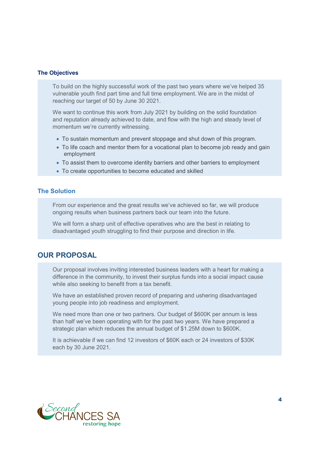#### The Objectives

To build on the highly successful work of the past two years where we've helped 35 vulnerable youth find part time and full time employment. We are in the midst of reaching our target of 50 by June 30 2021.

We want to continue this work from July 2021 by building on the solid foundation and reputation already achieved to date, and flow with the high and steady level of momentum we're currently witnessing.

- To sustain momentum and prevent stoppage and shut down of this program.
- To life coach and mentor them for a vocational plan to become job ready and gain employment
- To assist them to overcome identity barriers and other barriers to employment
- To create opportunities to become educated and skilled

#### The Solution

From our experience and the great results we've achieved so far, we will produce ongoing results when business partners back our team into the future.

We will form a sharp unit of effective operatives who are the best in relating to disadvantaged youth struggling to find their purpose and direction in life.

#### OUR PROPOSAL

Our proposal involves inviting interested business leaders with a heart for making a difference in the community, to invest their surplus funds into a social impact cause while also seeking to benefit from a tax benefit.

We have an established proven record of preparing and ushering disadvantaged young people into job readiness and employment.

We need more than one or two partners. Our budget of \$600K per annum is less than half we've been operating with for the past two years. We have prepared a strategic plan which reduces the annual budget of \$1.25M down to \$600K.

It is achievable if we can find 12 investors of \$60K each or 24 investors of \$30K each by 30 June 2021.

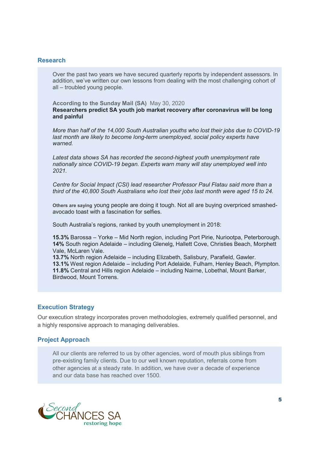#### Research

Over the past two years we have secured quarterly reports by independent assessors. In addition, we've written our own lessons from dealing with the most challenging cohort of all – troubled young people.

According to the Sunday Mail (SA) May 30, 2020 Researchers predict SA youth job market recovery after coronavirus will be long and painful

More than half of the 14,000 South Australian youths who lost their jobs due to COVID-19 last month are likely to become long-term unemployed, social policy experts have warned.

Latest data shows SA has recorded the second-highest youth unemployment rate nationally since COVID-19 began. Experts warn many will stay unemployed well into 2021.

Centre for Social Impact (CSI) lead researcher Professor Paul Flatau said more than a third of the 40,800 South Australians who lost their jobs last month were aged 15 to 24.

Others are saying young people are doing it tough. Not all are buying overpriced smashedavocado toast with a fascination for selfies.

South Australia's regions, ranked by youth unemployment in 2018:

15.3% Barossa – Yorke – Mid North region, including Port Pirie, Nuriootpa, Peterborough. 14% South region Adelaide – including Glenelg, Hallett Cove, Christies Beach, Morphett Vale, McLaren Vale.

13.7% North region Adelaide – including Elizabeth, Salisbury, Parafield, Gawler. 13.1% West region Adelaide – including Port Adelaide, Fulham, Henley Beach, Plympton. 11.8% Central and Hills region Adelaide – including Nairne, Lobethal, Mount Barker, Birdwood, Mount Torrens.

#### Execution Strategy

Our execution strategy incorporates proven methodologies, extremely qualified personnel, and a highly responsive approach to managing deliverables.

#### Project Approach

All our clients are referred to us by other agencies, word of mouth plus siblings from pre-existing family clients. Due to our well known reputation, referrals come from other agencies at a steady rate. In addition, we have over a decade of experience and our data base has reached over 1500.

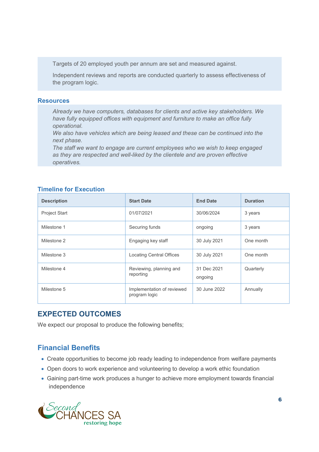Targets of 20 employed youth per annum are set and measured against.

Independent reviews and reports are conducted quarterly to assess effectiveness of the program logic.

#### **Resources**

Already we have computers, databases for clients and active key stakeholders. We have fully equipped offices with equipment and furniture to make an office fully operational.

We also have vehicles which are being leased and these can be continued into the next phase.

The staff we want to engage are current employees who we wish to keep engaged as they are respected and well-liked by the clientele and are proven effective operatives.

#### Timeline for Execution

| <b>Description</b>   | <b>Start Date</b>                           | <b>End Date</b>        | <b>Duration</b> |
|----------------------|---------------------------------------------|------------------------|-----------------|
| <b>Project Start</b> | 01/07/2021                                  | 30/06/2024             | 3 years         |
| Milestone 1          | Securing funds                              | ongoing                | 3 years         |
| Milestone 2          | Engaging key staff                          | 30 July 2021           | One month       |
| Milestone 3          | <b>Locating Central Offices</b>             | 30 July 2021           | One month       |
| Milestone 4          | Reviewing, planning and<br>reporting        | 31 Dec 2021<br>ongoing | Quarterly       |
| Milestone 5          | Implementation of reviewed<br>program logic | 30 June 2022           | Annually        |

#### EXPECTED OUTCOMES

We expect our proposal to produce the following benefits;

### Financial Benefits

- Create opportunities to become job ready leading to independence from welfare payments
- Open doors to work experience and volunteering to develop a work ethic foundation
- Gaining part-time work produces a hunger to achieve more employment towards financial independence

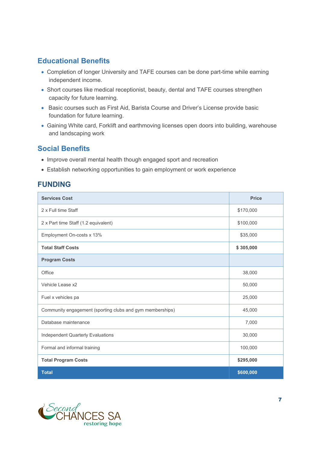## Educational Benefits

- Completion of longer University and TAFE courses can be done part-time while earning independent income.
- Short courses like medical receptionist, beauty, dental and TAFE courses strengthen capacity for future learning.
- Basic courses such as First Aid, Barista Course and Driver's License provide basic foundation for future learning.
- Gaining White card, Forklift and earthmoving licenses open doors into building, warehouse and landscaping work

## Social Benefits

- Improve overall mental health though engaged sport and recreation
- Establish networking opportunities to gain employment or work experience

## FUNDING

| <b>Services Cost</b>                                      | <b>Price</b> |
|-----------------------------------------------------------|--------------|
| 2 x Full time Staff                                       | \$170,000    |
| 2 x Part time Staff (1.2 equivalent)                      | \$100,000    |
| Employment On-costs x 13%                                 | \$35,000     |
| <b>Total Staff Costs</b>                                  | \$305,000    |
| <b>Program Costs</b>                                      |              |
| Office                                                    | 38,000       |
| Vehicle Lease x2                                          | 50,000       |
| Fuel x vehicles pa                                        | 25,000       |
| Community engagement (sporting clubs and gym memberships) | 45,000       |
| Database maintenance                                      | 7,000        |
| Independent Quarterly Evaluations                         | 30,000       |
| Formal and informal training                              | 100,000      |
| <b>Total Program Costs</b>                                | \$295,000    |
| <b>Total</b>                                              | \$600,000    |